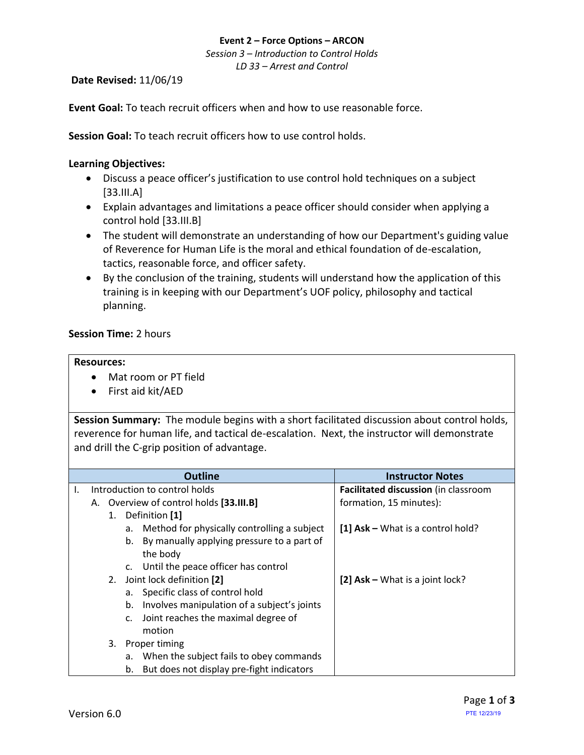#### **Event 2 – Force Options – ARCON**

*Session 3 – Introduction to Control Holds LD 33 – Arrest and Control*

**Date Revised:** 11/06/19

**Event Goal:** To teach recruit officers when and how to use reasonable force.

**Session Goal:** To teach recruit officers how to use control holds.

## <span id="page-0-1"></span>**Learning Objectives:**

- Discuss a peace officer's ju[stification to use control hold](#page-1-0) techniques on a subject [\[33.III.A\]](#page-1-0)
- [Explain advantages and limitations a peace officer should consider when applying a](#page-0-0)  [control hold](#page-0-0) [33.III.B]
- The student will demonstrate an understanding of how our Department's guiding value of Reverence for Human Life is the moral and ethical foundation of de-escalation, tactics, reasonable force, and officer safety.
- By the conclusion of the training, students will understand how the application of this training is in keeping with our Department's UOF policy, philosophy and tactical planning.

## **Session Time:** 2 hours

### **Resources:**

- Mat room or PT field
- First aid kit/AED

**Session Summary:** The module begins with a short facilitated discussion about control holds, reverence for human life, and tactical de-escalation. Next, the instructor will demonstrate and drill the C-grip position of advantage.

<span id="page-0-0"></span>

|    |                                         |    | <b>Outline</b>                              | <b>Instructor Notes</b>              |
|----|-----------------------------------------|----|---------------------------------------------|--------------------------------------|
| I. | Introduction to control holds           |    |                                             | Facilitated discussion (in classroom |
|    | A. Overview of control holds [33.III.B] |    |                                             | formation, 15 minutes):              |
|    | 1. Definition [1]                       |    |                                             |                                      |
|    |                                         | a. | Method for physically controlling a subject | [1] $Ask - What is a control hold?$  |
|    |                                         | b. | By manually applying pressure to a part of  |                                      |
|    |                                         |    | the body                                    |                                      |
|    |                                         | c. | Until the peace officer has control         |                                      |
|    | 2. Joint lock definition [2]            |    |                                             | [2] Ask - What is a joint lock?      |
|    |                                         |    | Specific class of control hold<br>а.        |                                      |
|    |                                         | b. | Involves manipulation of a subject's joints |                                      |
|    |                                         | c. | Joint reaches the maximal degree of         |                                      |
|    |                                         |    | motion                                      |                                      |
|    | 3. Proper timing                        |    |                                             |                                      |
|    |                                         | a. | When the subject fails to obey commands     |                                      |
|    |                                         | b. | But does not display pre-fight indicators   |                                      |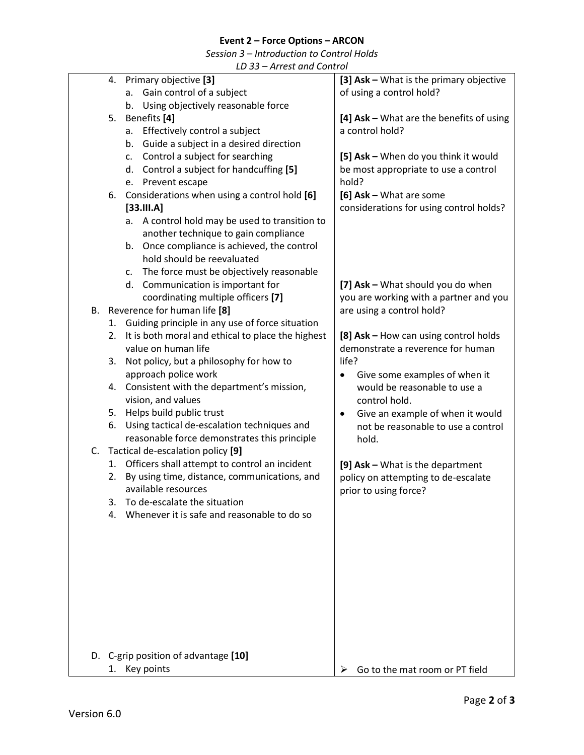# **Event 2 – Force Options – ARCON**

*Session 3 – Introduction to Control Holds*

*LD 33 – Arrest and Control*

<span id="page-1-0"></span>

| Primary objective [3]<br>[3] Ask - What is the primary objective<br>4.<br>a. Gain control of a subject<br>of using a control hold?<br>b. Using objectively reasonable force<br>Benefits <sup>[4]</sup><br>[4] Ask - What are the benefits of using<br>5.<br>a. Effectively control a subject<br>a control hold?<br>b. Guide a subject in a desired direction<br>Control a subject for searching<br>[5] Ask - When do you think it would<br>C.<br>d. Control a subject for handcuffing [5]<br>be most appropriate to use a control<br>e. Prevent escape<br>hold?<br>Considerations when using a control hold [6]<br>6.<br>[6] Ask - What are some<br>considerations for using control holds?<br>[33.III.A]<br>a. A control hold may be used to transition to<br>another technique to gain compliance<br>b. Once compliance is achieved, the control<br>hold should be reevaluated<br>The force must be objectively reasonable<br>c.<br>d. Communication is important for<br>[7] Ask - What should you do when<br>coordinating multiple officers [7]<br>you are working with a partner and you<br>B. Reverence for human life [8]<br>are using a control hold?<br>Guiding principle in any use of force situation<br>1.<br>It is both moral and ethical to place the highest<br>[8] Ask - How can using control holds<br>2.<br>value on human life<br>demonstrate a reverence for human<br>Not policy, but a philosophy for how to<br>life?<br>3.<br>approach police work<br>Give some examples of when it<br>٠<br>Consistent with the department's mission,<br>would be reasonable to use a<br>4.<br>vision, and values<br>control hold.<br>Helps build public trust<br>5.<br>Give an example of when it would<br>$\bullet$<br>Using tactical de-escalation techniques and<br>6.<br>not be reasonable to use a control<br>reasonable force demonstrates this principle<br>hold.<br>Tactical de-escalation policy [9]<br>C.<br>1. Officers shall attempt to control an incident<br>[9] Ask - What is the department<br>By using time, distance, communications, and<br>policy on attempting to de-escalate<br>2.<br>available resources<br>prior to using force?<br>To de-escalate the situation<br>3.<br>Whenever it is safe and reasonable to do so<br>4.<br>D. C-grip position of advantage [10] | LD 33 – Arrest and Control |                                |  |  |  |  |  |  |
|---------------------------------------------------------------------------------------------------------------------------------------------------------------------------------------------------------------------------------------------------------------------------------------------------------------------------------------------------------------------------------------------------------------------------------------------------------------------------------------------------------------------------------------------------------------------------------------------------------------------------------------------------------------------------------------------------------------------------------------------------------------------------------------------------------------------------------------------------------------------------------------------------------------------------------------------------------------------------------------------------------------------------------------------------------------------------------------------------------------------------------------------------------------------------------------------------------------------------------------------------------------------------------------------------------------------------------------------------------------------------------------------------------------------------------------------------------------------------------------------------------------------------------------------------------------------------------------------------------------------------------------------------------------------------------------------------------------------------------------------------------------------------------------------------------------------------------------------------------------------------------------------------------------------------------------------------------------------------------------------------------------------------------------------------------------------------------------------------------------------------------------------------------------------------------------------------------------------------------------------------------------------------------------------------|----------------------------|--------------------------------|--|--|--|--|--|--|
|                                                                                                                                                                                                                                                                                                                                                                                                                                                                                                                                                                                                                                                                                                                                                                                                                                                                                                                                                                                                                                                                                                                                                                                                                                                                                                                                                                                                                                                                                                                                                                                                                                                                                                                                                                                                                                                                                                                                                                                                                                                                                                                                                                                                                                                                                                   |                            |                                |  |  |  |  |  |  |
| ➤                                                                                                                                                                                                                                                                                                                                                                                                                                                                                                                                                                                                                                                                                                                                                                                                                                                                                                                                                                                                                                                                                                                                                                                                                                                                                                                                                                                                                                                                                                                                                                                                                                                                                                                                                                                                                                                                                                                                                                                                                                                                                                                                                                                                                                                                                                 | 1. Key points              | Go to the mat room or PT field |  |  |  |  |  |  |